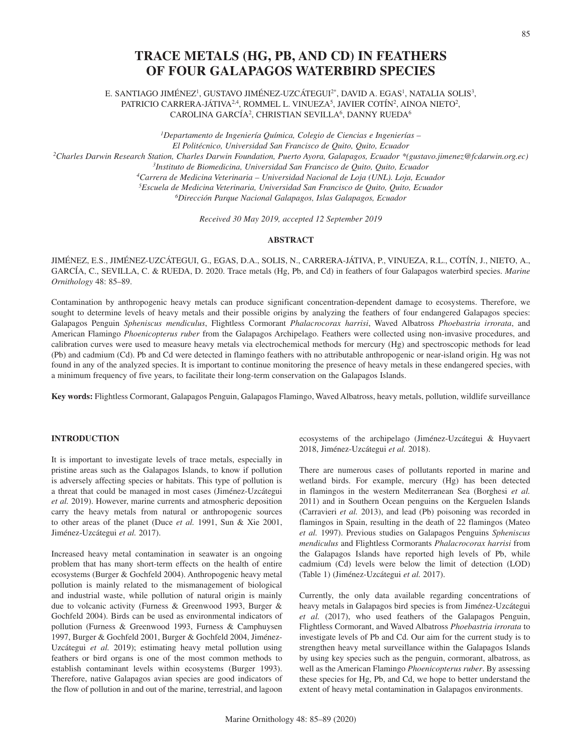# **TRACE METALS (HG, PB, AND CD) IN FEATHERS OF FOUR GALAPAGOS WATERBIRD SPECIES**

E. SANTIAGO JIMÉNEZ1, GUSTAVO JIMÉNEZ-UZCÁTEGUI2\*, DAVID A. EGAS1, NATALIA SOLIS3, PATRICIO CARRERA-JÁTIVA<sup>2,4</sup>, ROMMEL L. VINUEZA<sup>5</sup>, JAVIER COTÍN<sup>2</sup>, AINOA NIETO<sup>2</sup>, CAROLINA GARCÍA<sup>2</sup>, CHRISTIAN SEVILLA<sup>6</sup>, DANNY RUEDA<sup>6</sup>

*1 Departamento de Ingeniería Química, Colegio de Ciencias e Ingenierías – El Politécnico, Universidad San Francisco de Quito, Quito, Ecuador 2Charles Darwin Research Station, Charles Darwin Foundation, Puerto Ayora, Galapagos, Ecuador \*(gustavo.jimenez@fcdarwin.org.ec) 3Instituto de Biomedicina, Universidad San Francisco de Quito, Quito, Ecuador 4Carrera de Medicina Veterinaria – Universidad Nacional de Loja (UNL). Loja, Ecuador 5Escuela de Medicina Veterinaria, Universidad San Francisco de Quito, Quito, Ecuador 6Dirección Parque Nacional Galapagos, Islas Galapagos, Ecuador*

*Received 30 May 2019, accepted 12 September 2019*

#### **ABSTRACT**

JIMÉNEZ, E.S., JIMÉNEZ-UZCÁTEGUI, G., EGAS, D.A., SOLIS, N., CARRERA-JÁTIVA, P., VINUEZA, R.L., COTÍN, J., NIETO, A., GARCÍA, C., SEVILLA, C. & RUEDA, D. 2020. Trace metals (Hg, Pb, and Cd) in feathers of four Galapagos waterbird species. *Marine Ornithology* 48: 85–89.

Contamination by anthropogenic heavy metals can produce significant concentration-dependent damage to ecosystems. Therefore, we sought to determine levels of heavy metals and their possible origins by analyzing the feathers of four endangered Galapagos species: Galapagos Penguin *Spheniscus mendiculus*, Flightless Cormorant *Phalacrocorax harrisi*, Waved Albatross *Phoebastria irrorata*, and American Flamingo *Phoenicopterus ruber* from the Galapagos Archipelago. Feathers were collected using non-invasive procedures, and calibration curves were used to measure heavy metals via electrochemical methods for mercury (Hg) and spectroscopic methods for lead (Pb) and cadmium (Cd). Pb and Cd were detected in flamingo feathers with no attributable anthropogenic or near-island origin. Hg was not found in any of the analyzed species. It is important to continue monitoring the presence of heavy metals in these endangered species, with a minimum frequency of five years, to facilitate their long-term conservation on the Galapagos Islands.

**Key words:** Flightless Cormorant, Galapagos Penguin, Galapagos Flamingo, Waved Albatross, heavy metals, pollution, wildlife surveillance

# **INTRODUCTION**

It is important to investigate levels of trace metals, especially in pristine areas such as the Galapagos Islands, to know if pollution is adversely affecting species or habitats. This type of pollution is a threat that could be managed in most cases (Jiménez-Uzcátegui *et al.* 2019). However, marine currents and atmospheric deposition carry the heavy metals from natural or anthropogenic sources to other areas of the planet (Duce *et al.* 1991, Sun & Xie 2001, Jiménez-Uzcátegui *et al.* 2017).

Increased heavy metal contamination in seawater is an ongoing problem that has many short-term effects on the health of entire ecosystems (Burger & Gochfeld 2004). Anthropogenic heavy metal pollution is mainly related to the mismanagement of biological and industrial waste, while pollution of natural origin is mainly due to volcanic activity (Furness & Greenwood 1993, Burger & Gochfeld 2004). Birds can be used as environmental indicators of pollution (Furness & Greenwood 1993, Furness & Camphuysen 1997, Burger & Gochfeld 2001, Burger & Gochfeld 2004, Jiménez-Uzcátegui *et al.* 2019); estimating heavy metal pollution using feathers or bird organs is one of the most common methods to establish contaminant levels within ecosystems (Burger 1993). Therefore, native Galapagos avian species are good indicators of the flow of pollution in and out of the marine, terrestrial, and lagoon

ecosystems of the archipelago (Jiménez-Uzcátegui & Huyvaert 2018, Jiménez-Uzcátegui *et al.* 2018).

There are numerous cases of pollutants reported in marine and wetland birds. For example, mercury (Hg) has been detected in flamingos in the western Mediterranean Sea (Borghesi *et al.* 2011) and in Southern Ocean penguins on the Kerguelen Islands (Carravieri *et al.* 2013), and lead (Pb) poisoning was recorded in flamingos in Spain, resulting in the death of 22 flamingos (Mateo *et al.* 1997). Previous studies on Galapagos Penguins *Spheniscus mendiculus* and Flightless Cormorants *Phalacrocorax harrisi* from the Galapagos Islands have reported high levels of Pb, while cadmium (Cd) levels were below the limit of detection (LOD) (Table 1) (Jiménez-Uzcátegui *et al.* 2017).

Currently, the only data available regarding concentrations of heavy metals in Galapagos bird species is from Jiménez-Uzcátegui *et al.* (2017), who used feathers of the Galapagos Penguin, Flightless Cormorant, and Waved Albatross *Phoebastria irrorata* to investigate levels of Pb and Cd. Our aim for the current study is to strengthen heavy metal surveillance within the Galapagos Islands by using key species such as the penguin, cormorant, albatross, as well as the American Flamingo *Phoenicopterus ruber*. By assessing these species for Hg, Pb, and Cd, we hope to better understand the extent of heavy metal contamination in Galapagos environments.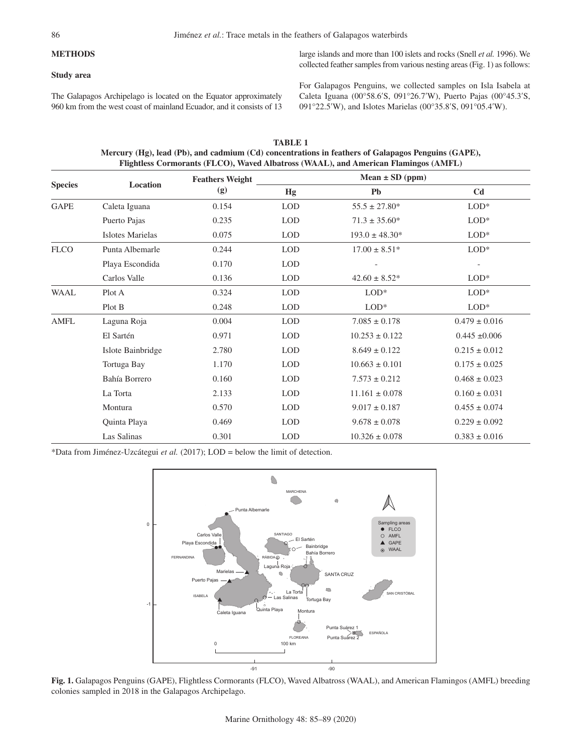# **METHODS**

## **Study area**

large islands and more than 100 islets and rocks (Snell *et al.* 1996). We collected feather samples from various nesting areas (Fig. 1) as follows:

The Galapagos Archipelago is located on the Equator approximately 960 km from the west coast of mainland Ecuador, and it consists of 13 For Galapagos Penguins, we collected samples on Isla Isabela at Caleta Iguana (00°58.6′S, 091°26.7′W), Puerto Pajas (00°45.3′S, 091°22.5′W), and Islotes Marielas (00°35.8′S, 091°05.4′W).

| <b>Species</b> | Location                | <b>Feathers Weight</b><br>(g) | Mean $\pm$ SD (ppm) |                    |                   |
|----------------|-------------------------|-------------------------------|---------------------|--------------------|-------------------|
|                |                         |                               | Hg                  | <b>Pb</b>          | C <sub>d</sub>    |
| <b>GAPE</b>    | Caleta Iguana           | 0.154                         | <b>LOD</b>          | $55.5 \pm 27.80*$  | $LOD*$            |
|                | Puerto Pajas            | 0.235                         | <b>LOD</b>          | $71.3 \pm 35.60*$  | $LOD*$            |
|                | <b>Islotes Marielas</b> | 0.075                         | <b>LOD</b>          | $193.0 \pm 48.30*$ | $LOD*$            |
| <b>FLCO</b>    | Punta Albemarle         | 0.244                         | <b>LOD</b>          | $17.00 \pm 8.51*$  | $LOD*$            |
|                | Playa Escondida         | 0.170                         | <b>LOD</b>          |                    |                   |
|                | Carlos Valle            | 0.136                         | <b>LOD</b>          | $42.60 \pm 8.52^*$ | $LOD*$            |
| <b>WAAL</b>    | Plot A                  | 0.324                         | <b>LOD</b>          | $LOD*$             | $LOD^*$           |
|                | Plot B                  | 0.248                         | <b>LOD</b>          | $LOD^*$            | $LOD^*$           |
| <b>AMFL</b>    | Laguna Roja             | 0.004                         | <b>LOD</b>          | $7.085 \pm 0.178$  | $0.479 \pm 0.016$ |
|                | El Sartén               | 0.971                         | <b>LOD</b>          | $10.253 \pm 0.122$ | $0.445 \pm 0.006$ |
|                | Islote Bainbridge       | 2.780                         | <b>LOD</b>          | $8.649 \pm 0.122$  | $0.215\pm0.012$   |
|                | Tortuga Bay             | 1.170                         | <b>LOD</b>          | $10.663 \pm 0.101$ | $0.175 \pm 0.025$ |
|                | Bahía Borrero           | 0.160                         | <b>LOD</b>          | $7.573 \pm 0.212$  | $0.468 \pm 0.023$ |
|                | La Torta                | 2.133                         | <b>LOD</b>          | $11.161 \pm 0.078$ | $0.160 \pm 0.031$ |
|                | Montura                 | 0.570                         | <b>LOD</b>          | $9.017 \pm 0.187$  | $0.455 \pm 0.074$ |
|                | Quinta Playa            | 0.469                         | <b>LOD</b>          | $9.678 \pm 0.078$  | $0.229 \pm 0.092$ |
|                | Las Salinas             | 0.301                         | <b>LOD</b>          | $10.326 \pm 0.078$ | $0.383 \pm 0.016$ |

**TABLE 1 Mercury (Hg), lead (Pb), and cadmium (Cd) concentrations in feathers of Galapagos Penguins (GAPE), Flightless Cormorants (FLCO), Waved Albatross (WAAL), and American Flamingos (AMFL)**

\*Data from Jiménez-Uzcátegui *et al.* (2017); LOD = below the limit of detection.



Fig. 1. Galapagos Penguins (GAPE), Flightless Cormorants (FLCO), Waved Albatross (WAAL), and American Flamingos (AMFL) breeding colonies sampled in 2018 in the Galapagos Archipelago.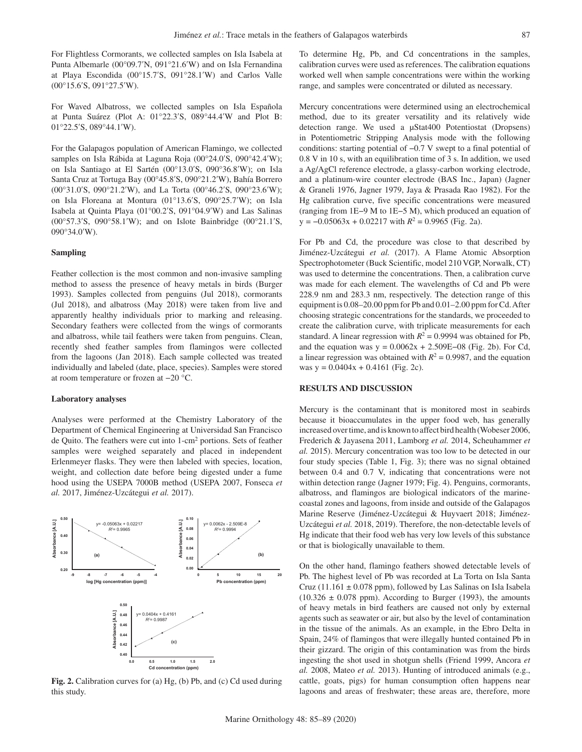For Flightless Cormorants, we collected samples on Isla Isabela at Punta Albemarle (00°09.7′N, 091°21.6′W) and on Isla Fernandina at Playa Escondida (00°15.7′S, 091°28.1′W) and Carlos Valle (00°15.6′S, 091°27.5′W).

For Waved Albatross, we collected samples on Isla Española at Punta Suárez (Plot A: 01°22.3′S, 089°44.4′W and Plot B: 01°22.5′S, 089°44.1′W).

For the Galapagos population of American Flamingo, we collected samples on Isla Rábida at Laguna Roja (00°24.0′S, 090°42.4′W); on Isla Santiago at El Sartén (00°13.0′S, 090°36.8′W); on Isla Santa Cruz at Tortuga Bay (00°45.8′S, 090°21.2′W), Bahía Borrero (00°31.0′S, 090°21.2′W), and La Torta (00°46.2′S, 090°23.6′W); on Isla Floreana at Montura (01°13.6′S, 090°25.7′W); on Isla Isabela at Quinta Playa (01°00.2′S, 091°04.9′W) and Las Salinas (00°57.3′S, 090°58.1′W); and on Islote Bainbridge (00°21.1′S, 090°34.0′W).

#### **Sampling**

Feather collection is the most common and non-invasive sampling method to assess the presence of heavy metals in birds (Burger 1993). Samples collected from penguins (Jul 2018), cormorants (Jul 2018), and albatross (May 2018) were taken from live and apparently healthy individuals prior to marking and releasing. Secondary feathers were collected from the wings of cormorants and albatross, while tail feathers were taken from penguins. Clean, recently shed feather samples from flamingos were collected from the lagoons (Jan 2018). Each sample collected was treated individually and labeled (date, place, species). Samples were stored at room temperature or frozen at −20 °C.

#### **Laboratory analyses**

Analyses were performed at the Chemistry Laboratory of the Department of Chemical Engineering at Universidad San Francisco de Quito. The feathers were cut into 1-cm2 portions. Sets of feather samples were weighed separately and placed in independent Erlenmeyer flasks. They were then labeled with species, location, weight, and collection date before being digested under a fume hood using the USEPA 7000B method (USEPA 2007, Fonseca *et al.* 2017, Jiménez-Uzcátegui *et al.* 2017).



**Fig. 2.** Calibration curves for (a) Hg, (b) Pb, and (c) Cd used during this study.

To determine Hg, Pb, and Cd concentrations in the samples, calibration curves were used as references. The calibration equations worked well when sample concentrations were within the working range, and samples were concentrated or diluted as necessary.

Mercury concentrations were determined using an electrochemical method, due to its greater versatility and its relatively wide detection range. We used a µStat400 Potentiostat (Dropsens) in Potentiometric Stripping Analysis mode with the following conditions: starting potential of −0.7 V swept to a final potential of 0.8 V in 10 s, with an equilibration time of 3 s. In addition, we used a Ag/AgCl reference electrode, a glassy-carbon working electrode, and a platinum-wire counter electrode (BAS Inc., Japan) (Jagner & Graneli 1976, Jagner 1979, Jaya & Prasada Rao 1982). For the Hg calibration curve, five specific concentrations were measured (ranging from 1E−9 M to 1E−5 M), which produced an equation of  $y = -0.05063x + 0.02217$  with  $R^2 = 0.9965$  (Fig. 2a).

For Pb and Cd, the procedure was close to that described by Jiménez-Uzcátegui *et al.* (2017). A Flame Atomic Absorption Spectrophotometer (Buck Scientific, model 210 VGP, Norwalk, CT) was used to determine the concentrations. Then, a calibration curve was made for each element. The wavelengths of Cd and Pb were 228.9 nm and 283.3 nm, respectively. The detection range of this equipment is 0.08–20.00 ppm for Pb and 0.01–2.00 ppm for Cd. After choosing strategic concentrations for the standards, we proceeded to create the calibration curve, with triplicate measurements for each standard. A linear regression with  $R^2 = 0.9994$  was obtained for Pb, and the equation was  $y = 0.0062x + 2.509E - 08$  (Fig. 2b). For Cd, a linear regression was obtained with  $R^2 = 0.9987$ , and the equation was  $y = 0.0404x + 0.4161$  (Fig. 2c).

# **RESULTS AND DISCUSSION**

Mercury is the contaminant that is monitored most in seabirds because it bioaccumulates in the upper food web, has generally increased over time, and is known to affect bird health (Wobeser 2006, Frederich & Jayasena 2011, Lamborg *et al.* 2014, Scheuhammer *et al.* 2015). Mercury concentration was too low to be detected in our four study species (Table 1, Fig. 3); there was no signal obtained between 0.4 and 0.7 V, indicating that concentrations were not within detection range (Jagner 1979; Fig. 4). Penguins, cormorants, albatross, and flamingos are biological indicators of the marinecoastal zones and lagoons, from inside and outside of the Galapagos Marine Reserve (Jiménez-Uzcátegui & Huyvaert 2018; Jiménez-Uzcátegui *et al.* 2018, 2019). Therefore, the non-detectable levels of Hg indicate that their food web has very low levels of this substance or that is biologically unavailable to them.

On the other hand, flamingo feathers showed detectable levels of Pb. The highest level of Pb was recorded at La Torta on Isla Santa Cruz (11.161  $\pm$  0.078 ppm), followed by Las Salinas on Isla Isabela  $(10.326 \pm 0.078$  ppm). According to Burger (1993), the amounts of heavy metals in bird feathers are caused not only by external agents such as seawater or air, but also by the level of contamination in the tissue of the animals. As an example, in the Ebro Delta in Spain, 24% of flamingos that were illegally hunted contained Pb in their gizzard. The origin of this contamination was from the birds ingesting the shot used in shotgun shells (Friend 1999, Ancora *et al.* 2008, Mateo *et al.* 2013). Hunting of introduced animals (e.g., cattle, goats, pigs) for human consumption often happens near lagoons and areas of freshwater; these areas are, therefore, more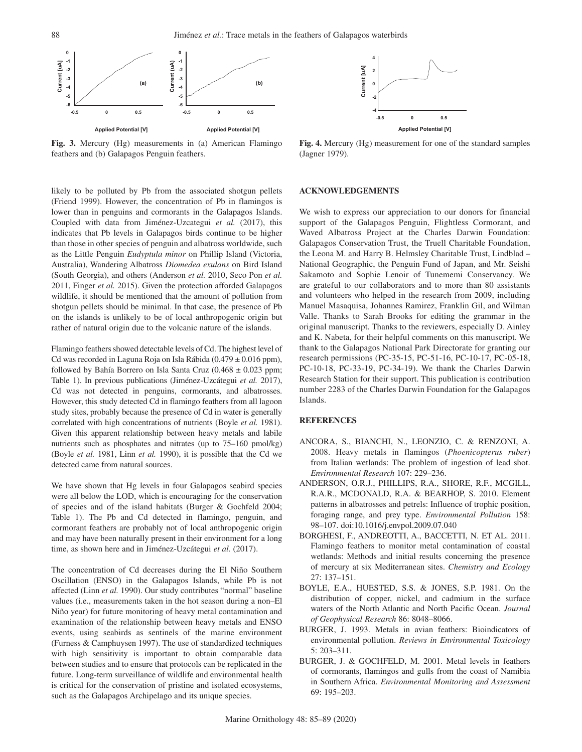

**Fig. 3.** Mercury (Hg) measurements in (a) American Flamingo feathers and (b) Galapagos Penguin feathers.

likely to be polluted by Pb from the associated shotgun pellets **2** (Friend 1999). However, the concentration of Pb in flamingos is lower than in penguins and cormorants in the Galapagos Islands. Coupled with data from Jiménez-Uzcategui et al. (2017), this indicates that Pb levels in Galapagos birds continue to be higher **-4** than those in other species of penguin and albatross worldwide, such **-0.5 0 0.5** as the Little Penguin *Eudyptula minor* on Phillip Island (Victoria, Australia), Wandering Albatross *Diomedea exulans* on Bird Island (South Georgia), and others (Anderson *et al.* 2010, Seco Pon *et al.* 2011, Finger *et al.* 2015). Given the protection afforded Galapagos wildlife, it should be mentioned that the amount of pollution from shotgun pellets should be minimal. In that case, the presence of Pb on the islands is unlikely to be of local anthropogenic origin but rather of natural origin due to the volcanic nature of the islands. ke<br>Tr

Flamingo feathers showed detectable levels of Cd. The highest level of Cd was recorded in Laguna Roja on Isla Rábida (0.479 ± 0.016 ppm), followed by Bahía Borrero on Isla Santa Cruz ( $0.468 \pm 0.023$  ppm; Table 1). In previous publications (Jiménez-Uzcátegui *et al.* 2017), Cd was not detected in penguins, cormorants, and albatrosses. However, this study detected Cd in flamingo feathers from all lagoon study sites, probably because the presence of Cd in water is generally correlated with high concentrations of nutrients (Boyle *et al.* 1981). Given this apparent relationship between heavy metals and labile nutrients such as phosphates and nitrates (up to 75–160 pmol/kg) (Boyle *et al.* 1981, Linn *et al.* 1990), it is possible that the Cd we detected came from natural sources.

We have shown that Hg levels in four Galapagos seabird species were all below the LOD, which is encouraging for the conservation of species and of the island habitats (Burger & Gochfeld 2004; Table 1). The Pb and Cd detected in flamingo, penguin, and cormorant feathers are probably not of local anthropogenic origin and may have been naturally present in their environment for a long time, as shown here and in Jiménez-Uzcátegui et al. (2017).

The concentration of Cd decreases during the El Niño Southern Oscillation (ENSO) in the Galapagos Islands, while Pb is not affected (Linn *et al.* 1990). Our study contributes "normal" baseline values (i.e., measurements taken in the hot season during a non–El Niño year) for future monitoring of heavy metal contamination and examination of the relationship between heavy metals and ENSO events, using seabirds as sentinels of the marine environment (Furness & Camphuysen 1997). The use of standardized techniques with high sensitivity is important to obtain comparable data between studies and to ensure that protocols can be replicated in the future. Long-term surveillance of wildlife and environmental health is critical for the conservation of pristine and isolated ecosystems, such as the Galapagos Archipelago and its unique species.



**Fig. 4.** Mercury (Hg) measurement for one of the standard samples (Jagner 1979).

# **ACKNOWLEDGEMENTS**

We wish to express our appreciation to our donors for financial support of the Galapagos Penguin, Flightless Cormorant, and Waved Albatross Project at the Charles Darwin Foundation: Galapagos Conservation Trust, the Truell Charitable Foundation, the Leona M. and Harry B. Helmsley Charitable Trust, Lindblad – National Geographic, the Penguin Fund of Japan, and Mr. Seishi Sakamoto and Sophie Lenoir of Tunememi Conservancy. We are grateful to our collaborators and to more than 80 assistants and volunteers who helped in the research from 2009, including Manuel Masaquisa, Johannes Ramirez, Franklin Gil, and Wilman Valle. Thanks to Sarah Brooks for editing the grammar in the original manuscript. Thanks to the reviewers, especially D. Ainley and K. Nabeta, for their helpful comments on this manuscript. We thank to the Galapagos National Park Directorate for granting our research permissions (PC-35-15, PC-51-16, PC-10-17, PC-05-18, PC-10-18, PC-33-19, PC-34-19). We thank the Charles Darwin Research Station for their support. This publication is contribution number 2283 of the Charles Darwin Foundation for the Galapagos Islands.

## **REFERENCES**

- ANCORA, S., BIANCHI, N., LEONZIO, C. & RENZONI, A. 2008. Heavy metals in flamingos (*Phoenicopterus ruber*) from Italian wetlands: The problem of ingestion of lead shot. *Environmental Research* 107: 229–236.
- ANDERSON, O.R.J., PHILLIPS, R.A., SHORE, R.F., MCGILL, R.A.R., MCDONALD, R.A. & BEARHOP, S. 2010. Element patterns in albatrosses and petrels: Influence of trophic position, foraging range, and prey type. *Environmental Pollution* 158: 98–107. doi:10.1016/j.envpol.2009.07.040
- BORGHESI, F., ANDREOTTI, A., BACCETTI, N. ET AL. 2011. Flamingo feathers to monitor metal contamination of coastal wetlands: Methods and initial results concerning the presence of mercury at six Mediterranean sites. *Chemistry and Ecology* 27: 137–151.
- BOYLE, E.A., HUESTED, S.S. & JONES, S.P. 1981. On the distribution of copper, nickel, and cadmium in the surface waters of the North Atlantic and North Pacific Ocean. *Journal of Geophysical Research* 86: 8048–8066.
- BURGER, J. 1993. Metals in avian feathers: Bioindicators of environmental pollution. *Reviews in Environmental Toxicology* 5: 203–311.
- BURGER, J. & GOCHFELD, M. 2001. Metal levels in feathers of cormorants, flamingos and gulls from the coast of Namibia in Southern Africa. *Environmental Monitoring and Assessment* 69: 195–203.